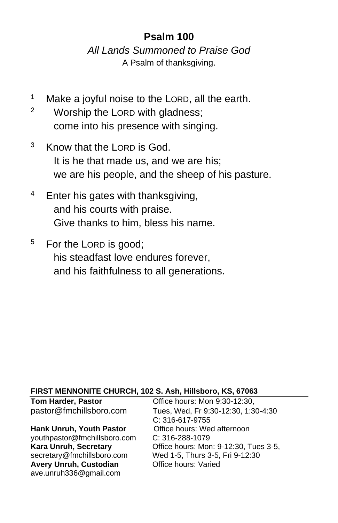## **Psalm 100**

*All Lands Summoned to Praise God* A Psalm of thanksgiving.

- <sup>1</sup> Make a joyful noise to the LORD, all the earth.
- <sup>2</sup> Worship the LORD with gladness; come into his presence with singing.
- <sup>3</sup> Know that the LORD is God. It is he that made us, and we are his; we are his people, and the sheep of his pasture.
- $4$  Enter his gates with thanksgiving, and his courts with praise. Give thanks to him, bless his name.
- <sup>5</sup> For the LORD is good; his steadfast love endures forever, and his faithfulness to all generations.

#### **FIRST MENNONITE CHURCH, 102 S. Ash, Hillsboro, KS, 67063**

#### **Hank Unruh, Youth Pastor Office hours: Wed afternoon**

[youthpastor@fmchillsboro.com](mailto:youthpastor@fmchillsboro.com) C: 316-288-1079 Avery Unruh, Custodian **Office hours: Varied** ave.unruh336@gmail.com

**Tom Harder, Pastor Conservery Conservery Conservery Program** pastor@fmchillsboro.com Tues, Wed, Fr 9:30-12:30, 1:30-4:30 C: 316-617-9755 Office hours: Mon: 9-12:30, Tues 3-5, secretary@fmchillsboro.com Wed 1-5, Thurs 3-5, Fri 9-12:30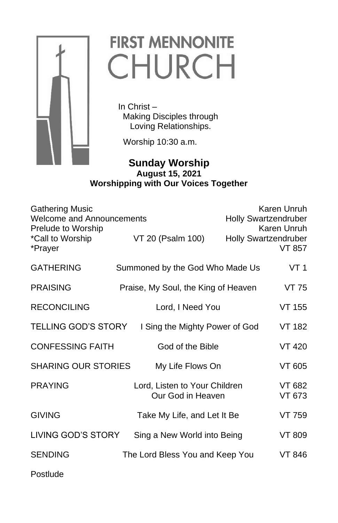

# **FIRST MENNONITE** CHURCH

 In Christ – Making Disciples through Loving Relationships.

Worship 10:30 a.m.

### **CONSUMPTER Sunday Worship August 15, 2021 Worshipping with Our Voices Together**

| <b>Gathering Music</b><br><b>Welcome and Announcements</b><br>Prelude to Worship<br>*Call to Worship<br>*Prayer | VT 20 (Psalm 100)                                  | Karen Unruh<br><b>Holly Swartzendruber</b><br>Karen Unruh<br><b>Holly Swartzendruber</b><br><b>VT 857</b> |
|-----------------------------------------------------------------------------------------------------------------|----------------------------------------------------|-----------------------------------------------------------------------------------------------------------|
| <b>GATHERING</b>                                                                                                | Summoned by the God Who Made Us                    | VT 1                                                                                                      |
| <b>PRAISING</b>                                                                                                 | Praise, My Soul, the King of Heaven                | VT 75                                                                                                     |
| <b>RECONCILING</b>                                                                                              | Lord, I Need You                                   | <b>VT 155</b>                                                                                             |
| <b>TELLING GOD'S STORY</b>                                                                                      | I Sing the Mighty Power of God                     | VT 182                                                                                                    |
| <b>CONFESSING FAITH</b>                                                                                         | God of the Bible                                   | VT 420                                                                                                    |
| <b>SHARING OUR STORIES</b>                                                                                      | My Life Flows On                                   | VT 605                                                                                                    |
| <b>PRAYING</b>                                                                                                  | Lord, Listen to Your Children<br>Our God in Heaven | VT 682<br>VT 673                                                                                          |
| <b>GIVING</b>                                                                                                   | Take My Life, and Let It Be                        | VT 759                                                                                                    |
| LIVING GOD'S STORY                                                                                              | Sing a New World into Being                        | VT 809                                                                                                    |
| <b>SENDING</b>                                                                                                  | The Lord Bless You and Keep You                    | VT 846                                                                                                    |
| Postlude                                                                                                        |                                                    |                                                                                                           |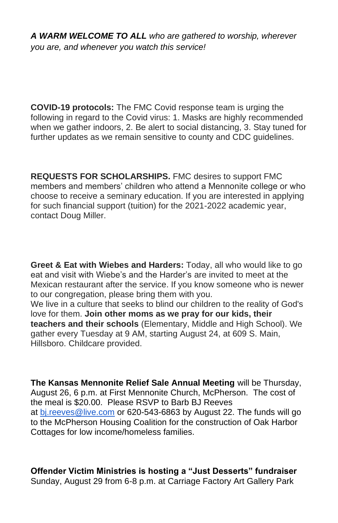*A WARM WELCOME TO ALL who are gathered to worship, wherever you are, and whenever you watch this service!*

**COVID-19 protocols:** The FMC Covid response team is urging the following in regard to the Covid virus: 1. Masks are highly recommended when we gather indoors, 2. Be alert to social distancing, 3. Stay tuned for further updates as we remain sensitive to county and CDC guidelines.

**REQUESTS FOR SCHOLARSHIPS.** FMC desires to support FMC members and members' children who attend a Mennonite college or who choose to receive a seminary education. If you are interested in applying for such financial support (tuition) for the 2021-2022 academic year, contact Doug Miller.

**Greet & Eat with Wiebes and Harders:** Today, all who would like to go eat and visit with Wiebe's and the Harder's are invited to meet at the Mexican restaurant after the service. If you know someone who is newer to our congregation, please bring them with you.

We live in a culture that seeks to blind our children to the reality of God's love for them. **Join other moms as we pray for our kids, their teachers and their schools** (Elementary, Middle and High School). We gather every Tuesday at 9 AM, starting August 24, at 609 S. Main, Hillsboro. Childcare provided.

**The Kansas Mennonite Relief Sale Annual Meeting** will be Thursday, August 26, 6 p.m. at First Mennonite Church, McPherson. The cost of the meal is \$20.00. Please RSVP to Barb BJ Reeves at [bj.reeves@live.com](mailto:bj.reeves@live.com) or 620-543-6863 by August 22. The funds will go to the McPherson Housing Coalition for the construction of Oak Harbor Cottages for low income/homeless families.

**Offender Victim Ministries is hosting a "Just Desserts" fundraiser** Sunday, August 29 from 6-8 p.m. at Carriage Factory Art Gallery Park